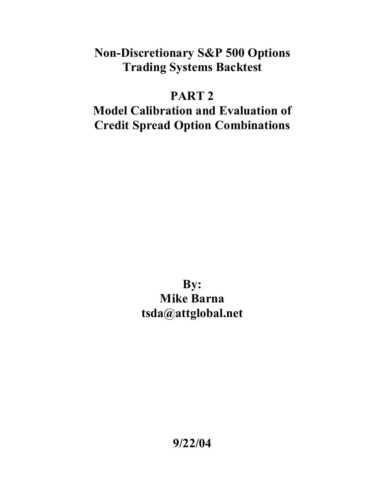### **Non-Discretionary S&P 500 Options Trading Systems Backtest**

# **PART 2**

## **Model Calibration and Evaluation of Credit Spread Option Combinations**

**By: Mike Barna tsda@attglobal.net** 

**9/22/04**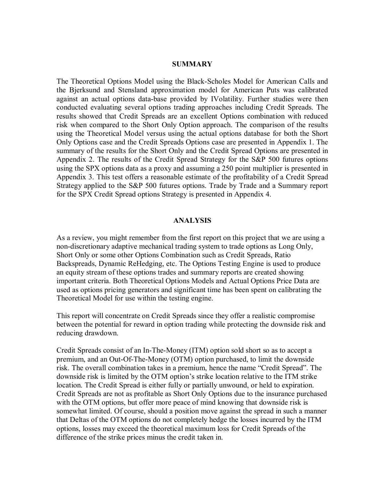#### **SUMMARY**

The Theoretical Options Model using the Black-Scholes Model for American Calls and the Bjerksund and Stensland approximation model for American Puts was calibrated against an actual options data-base provided by IVolatility. Further studies were then conducted evaluating several options trading approaches including Credit Spreads. The results showed that Credit Spreads are an excellent Options combination with reduced risk when compared to the Short Only Option approach. The comparison of the results using the Theoretical Model versus using the actual options database for both the Short Only Options case and the Credit Spreads Options case are presented in Appendix 1. The summary of the results for the Short Only and the Credit Spread Options are presented in Appendix 2. The results of the Credit Spread Strategy for the S&P 500 futures options using the SPX options data as a proxy and assuming a 250 point multiplier is presented in Appendix 3. This test offers a reasonable estimate of the profitability of a Credit Spread Strategy applied to the S&P 500 futures options. Trade by Trade and a Summary report for the SPX Credit Spread options Strategy is presented in Appendix 4.

#### **ANALYSIS**

As a review, you might remember from the first report on this project that we are using a non-discretionary adaptive mechanical trading system to trade options as Long Only, Short Only or some other Options Combination such as Credit Spreads, Ratio Backspreads, Dynamic ReHedging, etc. The Options Testing Engine is used to produce an equity stream of these options trades and summary reports are created showing important criteria. Both Theoretical Options Models and Actual Options Price Data are used as options pricing generators and significant time has been spent on calibrating the Theoretical Model for use within the testing engine.

This report will concentrate on Credit Spreads since they offer a realistic compromise between the potential for reward in option trading while protecting the downside risk and reducing drawdown.

Credit Spreads consist of an In-The-Money (ITM) option sold short so as to accept a premium, and an Out-Of-The-Money (OTM) option purchased, to limit the downside risk. The overall combination takes in a premium, hence the name "Credit Spread". The downside risk is limited by the OTM option's strike location relative to the ITM strike location. The Credit Spread is either fully or partially unwound, or held to expiration. Credit Spreads are not as profitable as Short Only Options due to the insurance purchased with the OTM options, but offer more peace of mind knowing that downside risk is somewhat limited. Of course, should a position move against the spread in such a manner that Deltas of the OTM options do not completely hedge the losses incurred by the ITM options, losses may exceed the theoretical maximum loss for Credit Spreads of the difference of the strike prices minus the credit taken in.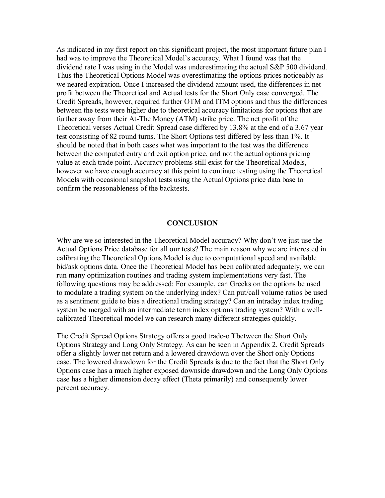As indicated in my first report on this significant project, the most important future plan I had was to improve the Theoretical Model's accuracy. What I found was that the dividend rate I was using in the Model was underestimating the actual S&P 500 dividend. Thus the Theoretical Options Model was overestimating the options prices noticeably as we neared expiration. Once I increased the dividend amount used, the differences in net profit between the Theoretical and Actual tests for the Short Only case converged. The Credit Spreads, however, required further OTM and ITM options and thus the differences between the tests were higher due to theoretical accuracy limitations for options that are further away from their At-The Money (ATM) strike price. The net profit of the Theoretical verses Actual Credit Spread case differed by 13.8% at the end of a 3.67 year test consisting of 82 round turns. The Short Options test differed by less than 1%. It should be noted that in both cases what was important to the test was the difference between the computed entry and exit option price, and not the actual options pricing value at each trade point. Accuracy problems still exist for the Theoretical Models, however we have enough accuracy at this point to continue testing using the Theoretical Models with occasional snapshot tests using the Actual Options price data base to confirm the reasonableness of the backtests.

### **CONCLUSION**

Why are we so interested in the Theoretical Model accuracy? Why don't we just use the Actual Options Price database for all our tests? The main reason why we are interested in calibrating the Theoretical Options Model is due to computational speed and available bid/ask options data. Once the Theoretical Model has been calibrated adequately, we can run many optimization routines and trading system implementations very fast. The following questions may be addressed: For example, can Greeks on the options be used to modulate a trading system on the underlying index? Can put/call volume ratios be used as a sentiment guide to bias a directional trading strategy? Can an intraday index trading system be merged with an intermediate term index options trading system? With a wellcalibrated Theoretical model we can research many different strategies quickly.

The Credit Spread Options Strategy offers a good trade-off between the Short Only Options Strategy and Long Only Strategy. As can be seen in Appendix 2, Credit Spreads offer a slightly lower net return and a lowered drawdown over the Short only Options case. The lowered drawdown for the Credit Spreads is due to the fact that the Short Only Options case has a much higher exposed downside drawdown and the Long Only Options case has a higher dimension decay effect (Theta primarily) and consequently lower percent accuracy.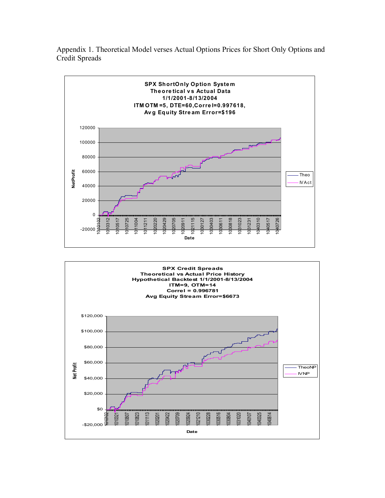Appendix 1. Theoretical Model verses Actual Options Prices for Short Only Options and Credit Spreads



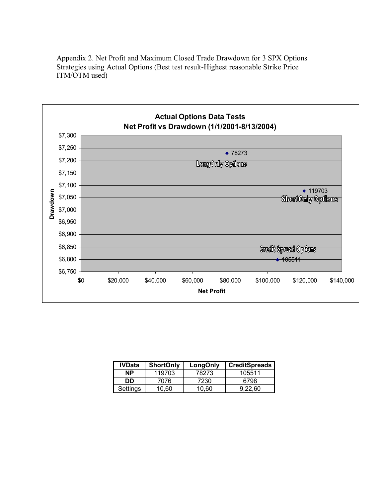Appendix 2. Net Profit and Maximum Closed Trade Drawdown for 3 SPX Options Strategies using Actual Options (Best test result-Highest reasonable Strike Price ITM/OTM used)



| <b>IVData</b> | <b>ShortOnly</b> | LongOnly | <b>CreditSpreads</b> |
|---------------|------------------|----------|----------------------|
| <b>NP</b>     | 119703           | 78273    | 105511               |
| DD            | 7076             | 7230     | 6798                 |
| Settings      | 10.60            | 10.60    | 9.22.60              |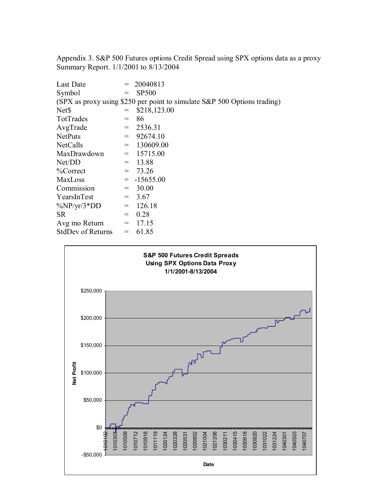Appendix 3. S&P 500 Futures options Credit Spread using SPX options data as a proxy Summary Report. 1/1/2001 to 8/13/2004

| Last Date                                                                |                                              | 20040813      |  |  |  |  |  |  |
|--------------------------------------------------------------------------|----------------------------------------------|---------------|--|--|--|--|--|--|
| Symbol                                                                   | $=$                                          | <b>SP500</b>  |  |  |  |  |  |  |
| (SPX as proxy using \$250 per point to simulate S&P 500 Options trading) |                                              |               |  |  |  |  |  |  |
| Net <sub>S</sub>                                                         |                                              | \$218,123.00  |  |  |  |  |  |  |
| TotTrades                                                                |                                              | 86            |  |  |  |  |  |  |
| AvgTrade                                                                 | $=$                                          | 2536.31       |  |  |  |  |  |  |
| <b>NetPuts</b>                                                           | $=$                                          | 92674.10      |  |  |  |  |  |  |
| <b>NetCalls</b>                                                          | $=$                                          | 130609.00     |  |  |  |  |  |  |
| MaxDrawdown                                                              |                                              | $= 15715.00$  |  |  |  |  |  |  |
| Net/DD                                                                   | $=$                                          | 13.88         |  |  |  |  |  |  |
| %Correct                                                                 | $=$                                          | 73.26         |  |  |  |  |  |  |
| <b>MaxLoss</b>                                                           |                                              | $= -15655.00$ |  |  |  |  |  |  |
| Commission                                                               | $=$                                          | 30.00         |  |  |  |  |  |  |
| YearsInTest                                                              | $=$                                          | 3.67          |  |  |  |  |  |  |
| $\frac{\%NP}{\gamma r}/3*DD$                                             | $=$                                          | 126.18        |  |  |  |  |  |  |
| <b>SR</b>                                                                | $=$                                          | 0.28          |  |  |  |  |  |  |
| Avg mo Return                                                            | $\displaystyle \qquad \qquad =\qquad \qquad$ | 17.15         |  |  |  |  |  |  |
| <b>StdDev of Returns</b>                                                 | $\displaystyle \qquad \qquad =\qquad \qquad$ | 61.85         |  |  |  |  |  |  |